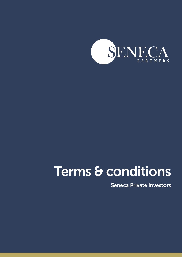

# Terms & conditions

Seneca Private Investors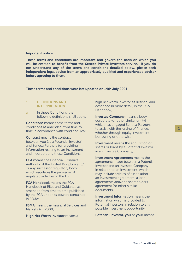#### Important notice

These terms and conditions are important and govern the basis on which you will be entitled to benefit from the Seneca Private Investors service. If you do not understand any of the terms and conditions detailed below, please seek independent legal advice from an appropriately qualified and experienced advisor before agreeing to them.

#### These terms and conditions were last updated on 14th July 2021

## 1. DEFINITIONS AND INTERPRETATION

a. In these Conditions, the following definitions shall apply:

Conditions means these terms and conditions as amended from time to time in accordance with condition 12a;

Contract means the contract between you (as a Potential Investor) and Seneca Partners for providing information relating to an Investment and incorporating these Conditions;

**FCA** means the Financial Conduct Authority of the United Kingdom and/ or any successor regulatory body which regulates the provision of regulated activities in the UK;

FCA Handbook means the FCA Handbook of Riles and Guidance as amended from time to time published by the FCA under its powers contained in FSMA;

**FSMA** means the Financial Services and Markets Act 2000;

High Net Worth Investor means a

high net worth investor as defined, and described in more detail, in the FCA Handbook;

Investee Company means a body corporate (or other similar entity) which has engaged Seneca Partners to assist with the raising of finance, whether through equity investment, borrowing or otherwise;

**Investment** means the acquisition of shares or loans by a Potential Investor in an Investee Company;

Investment Agreements means the agreements made between a Potential Investor and an Investee Company in relation to an Investment, which may include articles of association, an investment agreement, a loan agreements and/or a shareholders' agreement (or other similar documents);

Investment Information means the information which is provided to Potential Investors in relation to any possible Investment opportunity;

Potential Investor, you or your means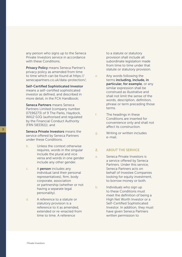any person who signs up to the Seneca Private Investors service in accordance with these Conditions;

**Privacy Policy** means Seneca Partner's privacy policy as amended from time to time which can be found at https:// senecapartners.co.uk/data-protection/;

Self-Certified Sophisticated Investor means a self-certified sophisticated investor as defined, and described in more detail, in the FCA Handbook;

Seneca Partners means Seneca Partners Limited (company number 07196273) of 9 The Parks, Haydock, WA12 0JQ (authorised and regulated by the Financial Conduct Authority (FRN 583361)); and

Seneca Private Investors means the service offered by Seneca Partners under these Conditions.

- b. Unless the context otherwise requires, words in the singular include the plural and vice versa and words in one gender include any other gender.
- c. A **person** includes any individual (and their personal representatives), firm, body corporate, association or partnership (whether or not having a separate legal personality).
- d. A reference to a statute or statutory provision is a reference to it as amended, extended or re-enacted from time to time. A reference

to a statute or statutory provision shall include all subordinate legislation made from time to time under that statute or statutory provision.

- e. Any words following the terms including, include, in particular, for example, or any similar expression shall be construed as illustrative and shall not limit the sense of the words, description, definition, phrase or term preceding those terms.
- f. The headings in these Conditions are inserted for convenience only and shall not affect its construction.
- g. Writing or written includes e-mail.

## 2. ABOUT THE SERVICE

- a. Seneca Private Investors is a service offered by Seneca Partners. Under this service, Seneca Partners acts on behalf of Investee Companies looking for equity investment, to borrow money or both.
- b. Individuals who sign up to these Conditions must meet the definition of being a High Net Worth Investor or a Self-Certified Sophisticated Investor. In addition, they must have given Seneca Partners written permission to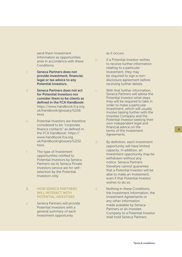send them Investment Information as opportunities arise in accordance with these Conditions.

- c. Seneca Partners does not provide investment, financial, legal or tax advice to any Potential Investors.
- d. Seneca Partners does not act for Potential Investors nor consider them to be clients as defined in the FCA Handbook: https://www.handbook.fca.org. uk/handbook/glossary/G156. html
- e. Potential Investors are therefore considered to be "corporate finance contacts" as defined in the FCA Handbook: https:// www.handbook.fca.org. uk/handbook/glossary/G232. html
- f. The type of Investment opportunities notified to Potential Investors by Seneca Partners via its Seneca Private Investors service are for selfselection by the Potential Investors only.

# 3. HOW SENECA PARTNERS WILL INTERACT WITH POTENTIAL INVESTORS

a. Seneca Partners will provide Potential Investors with a general summary of each Investment opportunity

as it occurs.

- b. If a Potential Investor wishes to receive further information relating to a particular Investment, they may be required to sign a nondisclosure agreement before receiving further details.
- c. With that further information, Seneca Partners will advise the Potential Investor what steps they will be required to take in order to make a particular Investment, which will usually involve liaising further with the Investee Company and the Potential Investor seeking their own independent legal and financial advice on the terms of the Investment Agreements.
- d. By definition, each Investment opportunity will have limited capacity. In addition, an Investment opportunity may be withdrawn without any notice. Seneca Partners therefore cannot guarantee that a Potential Investor will be able to make an Investment, even if that Potential Investor wishes to do so.

e. Nothing in these Conditions, the Investment Information, the Investment Agreements or any other information made available by Seneca Partners or an Investee Company to a Potential Investor shall hold Seneca Partners

 $\overline{\mathbf{A}}$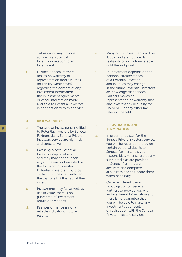out as giving any financial advice to a Potential Investor in relation to an Investment.

f. Further, Seneca Partners makes no warranty or representation (and assumes no liability whatsoever) regarding the content of any Investment Information, the Investment Agreements or other information made available to Potential Investors in connection with this service.

#### 4. RISK WARNINGS

- a. The type of Investments notified to Potential Investors by Seneca Partners via its Seneca Private Investors service are high risk and speculative.
- b. Investing places Potential Investors' capital at risk and they may not get back any of the amount invested or the full amount invested. Potential Investors should be certain that they can withstand the loss of all of the capital they invest.
- c. Investments may fall as well as rise in value, there is no guarantee of investment return or dividends.
- d. Past performance is not a reliable indicator of future results.
- e. Many of the Investments will be illiquid and are not readily realisable or easily transferable until the exit point.
- f. Tax treatment depends on the personal circumstances of a Potential Investor and tax rules may change in the future. Potential Investors acknowledge that Seneca Partners makes no representation or warranty that any Investment will qualify for EIS or SEIS or any other tax reliefs or benefits.

# 5. REGISTRATION AND **TERMINATION**

- a. In order to register for the Seneca Private Investors service, you will be required to provide certain personal details to Seneca Partners. It is your responsibility to ensure that any such details as are provided to Seneca Partners are accurate and complete at all times and to update them when necessary.
- b. Once registered, there is no obligation on Seneca Partners to provide you with an Investment Information and there is no guarantee that you will be able to make any Investments as a result of registration with the Seneca Private Investors service.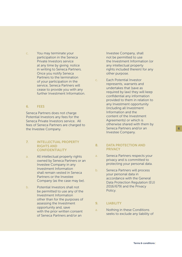c. You may terminate your participation in the Seneca Private Investors service at any time by giving notice in writing to Seneca Partners. Once you notify Seneca Partners to the termination of your participation in the service, Seneca Partners will cease to provide you with any further Investment Information.

#### 6. FEES

Seneca Partners does not charge Potential Investors any fees for the Seneca Private Investors service. All fees of Seneca Partners are charged to the Investee Company.

## 7. INTELLECTUAL PROPERTY RIGHTS AND **CONFIDENTIALITY**

- a. All intellectual property rights owned by Seneca Partners or an Investee Company in any Investment Information shall remain vested in Seneca Partners or the Investee Company (as the case may be).
- b. Potential Investors shall not be permitted to use any of the Investment Information other than for the purposes of assessing the Investment opportunity and, save with the prior written consent of Seneca Partners and/or an

Investee Company, shall not be permitted to use the Investment Information (or any intellectual property rights included therein) for any other purpose.

c. Each Potential Investor represents, warrants and undertakes that (save as required by law) they will keep confidential any information provided to them in relation to any Investment opportunity (including all Investment Information and the content of the Investment Agreements) or which is otherwise shared with them by Seneca Partners and/or an Investee Company.

## 8. DATA PROTECTION AND **PRIVACY**

- a. Seneca Partners respects your privacy and is committed to protecting your personal data.
- b. Seneca Partners will process your personal data in accordance with the General Data Protection Regulation (EU) 2016/679) and the Privacy Policy.

## 9. LIABILITY

a. Nothing in these Conditions seeks to exclude any liability of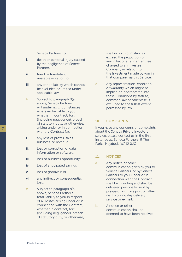Seneca Partners for:

- i. death or personal injury caused by the negligence of Seneca Partners;
- ii. fraud or fraudulent misrepresentation; or
- **iii.** any other liability which cannot be excluded or limited under applicable law.
- b. Subject to paragraph 8(a) above, Seneca Partners will under no circumstances whatever be liable to you, whether in contract, tort (including negligence), breach of statutory duty, or otherwise, arising under or in connection with the Contract for:
- i. any loss of profits, sales, business, or revenue;
- ii. loss or corruption of data, information or software;
- iii. loss of business opportunity;
- iv. loss of anticipated savings;
- v. loss of goodwill; or
- vi. any indirect or consequential loss.
- c. Subject to paragraph 8(a) above, Seneca Partner's total liability to you in respect of all losses arising under or in connection with the Contract, whether in contract, tort (including negligence), breach of statutory duty, or otherwise,

shall in no circumstances exceed the proportion of any initial or arrangement fee charged to an Investee Company in relation to the Investment made by you in that company via this Service.

d. Any representation, condition or warranty which might be implied or incorporated into these Conditions by statute, common law or otherwise is excluded to the fullest extent permitted by law.

## 10. COMPLAINTS

If you have any concerns or complaints about the Seneca Private Investors service, please contact us in the first instance at: Seneca Partners, 9 The Parks, Haydock, WA12 0JQ.

#### 11. NOTICES

- a. Any notice or other communication given by you to Seneca Partners, or by Seneca Partners to you, under or in connection with the Contract shall be in writing and shall be delivered personally, sent by pre-paid first class post or other next working day delivery service or e-mail.
- b. A notice or other communication shall be deemed to have been received:

7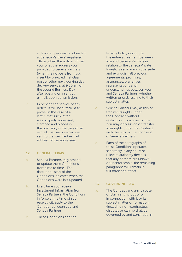if delivered personally, when left at Seneca Partners' registered office (when the notice is from you) or at the address you provided to Seneca Partners (when the notice is from us); if sent by pre-paid first class post or other next working day delivery service, at 9.00 am on the second Business Day after posting or if sent by e-mail, upon transmission.

c. In proving the service of any notice, it will be sufficient to prove, in the case of a letter, that such letter was properly addressed, stamped and placed in the post and, in the case of an e-mail, that such e-mail was sent to the specified e-mail address of the addressee.

## 12. GENERAL TERMS

- a. Seneca Partners may amend or update these Conditions from time to time. The date at the start of the Conditions indicates when the Conditions were last updated.
- b. Every time you receive Investment Information from Seneca Partners, the Conditions in force at the time of such receipt will apply to the Contract between you and Seneca Partners.
- c. These Conditions and the

Privacy Policy constitute the entire agreement between you and Seneca Partners in relation to the Seneca Private Investors service and supersede and extinguish all previous agreements, promises, assurances, warranties, representations and understandings between you and Seneca Partners, whether written or oral, relating to their subject matter.

- d. Seneca Partners may assign or transfer its rights under the Contract, without restriction, from time to time. You may only assign or transfer your rights under the Contract with the prior written consent of Seneca Partners.
- e. Each of the paragraphs of these Conditions operates separately. If any court or relevant authority decides that any of them are unlawful or unenforceable, the remaining paragraphs will remain in full force and effect.

#### 13. GOVERNING LAW

a. The Contract and any dispute or claim arising out of or in connection with it or its subject matter or formation (including non-contractual disputes or claims) shall be governed by and construed in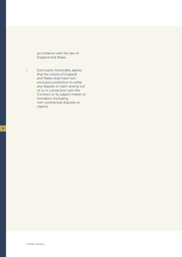accordance with the law of England and Wales.

b. Each party irrevocably agrees that the courts of England and Wales shall have nonexclusive jurisdiction to settle any dispute or claim arising out of or in connection with the Contract or its subject matter or formation (including non-contractual disputes or claims).